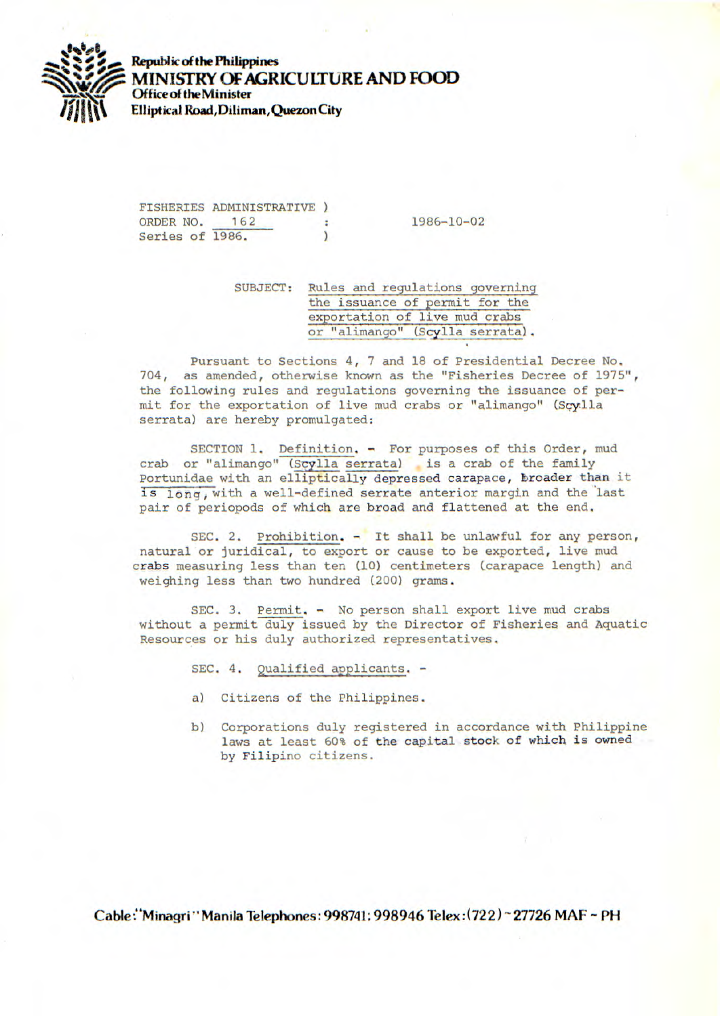

**Republic of the Philippines MINISTRY OF AGRICULTURE AND FOOD** *Office* of **theMinister Elliptical Road, Diliman, Quezon City** 

FISHERIES ADMINISTRATIVE ORDER NO. 162 : 1986-10-02<br>Series of 1986. Series of 1986.

SUBJECT: Rules and regulations governin the issuance of permit for the exportation of live mud crabs or "alimango" (Scylla serrata).

Pursuant to Sections 4, 7 and 18 of Presidential Decree No. 704, as amended, otherwise known as the "Fisheries Decree of 1975", the following rules and regulations governing the issuance of permit for the exportation of live mud crabs or "alimango" (Scylla serrata) are hereby promulgated:

SECTION 1. Definition. - For purposes of this Order, mud crab or "alimango" (Scylla serrata) is a crab of the family Portunidae with an elliptically depressed carapace, broader than it is long, with a well-defined serrate anterior margin and the last pair of periopods of which are broad and flattened at the end.

SEC. 2. Prohibition. - It shall be unlawful for any person, natural or juridical, to export or cause to be exported, live mud crabs measuring less than ten (10) centimeters (carapace length) and weighing less than two hundred (200) grams.

SEC. 3. Permit. - No person shall export live mud crabs without a permit duly issued by the Director of Fisheries and Aquatic Resources or his duly authorized representatives.

SEC. 4. Qualified applicants, -

- a) Citizens of the Philippines.
- b) Corporations duly registered in accordance with Philippine laws at least 60% of the capital stock of which is owned by Filipino citizens.

Cable: Minagri "Manila Telephones: 998741; 998946 Telex: (722) ~ 27726 MAF ~ PH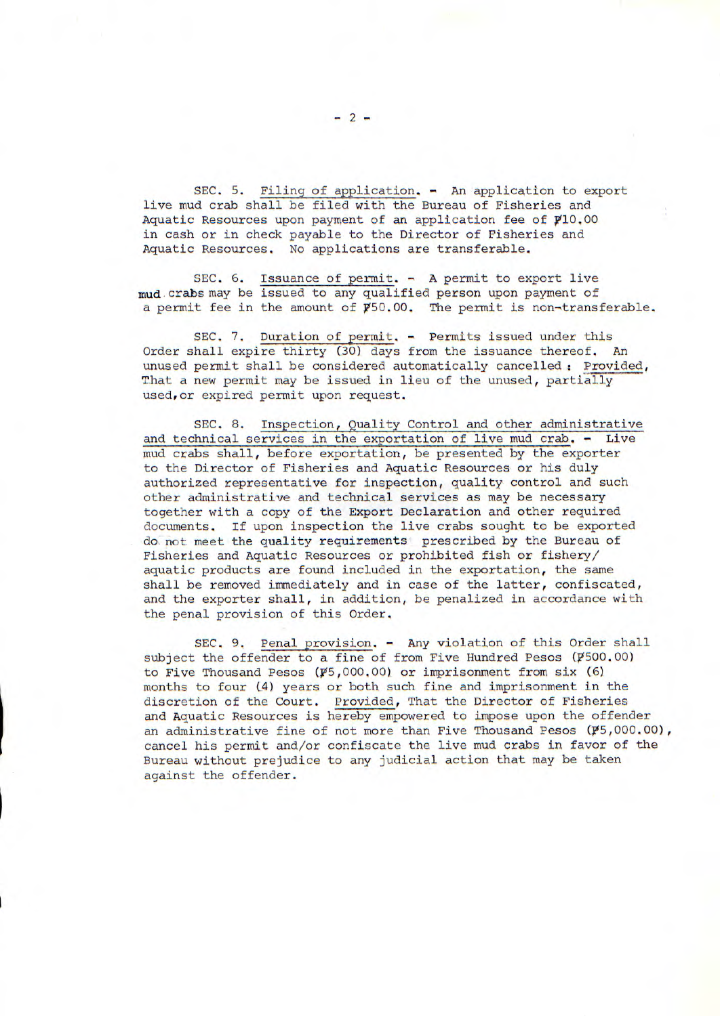SEC. 5. Filing of application. - An application to export live mud crab shall be filed with the Bureau of Fisheries and Aquatic Resources upon payment of an application fee of Y10.00 in cash or in check payable to the Director of Fisheries and Aquatic Resources. No applications are transferable.

SEC. 6. Issuance of permit. - A permit to export live mud crabs may be issued to any qualified person upon payment of a permit fee in the amount of  $\cancel{p}50.00$ . The permit is non-transferable.

SEC. 7. Duration of permit. - Permits issued under this Order shall expire thirty (30) days from the issuance thereof. An unused permit shall be considered automatically cancelled: Provided, That a new permit may be issued in lieu of the unused, partially used,or expired permit upon request.

SEC. 8. Inspection, Quality Control and other administrative and technical services in the exportation of live mud crab. - Live mud crabs shall, before exportation, be presented by the exporter to the Director of Fisheries and Aquatic Resources or his duly authorized representative for inspection, quality control and such other administrative and technical services as may be necessary together with a copy of the Export Declaration and other required documents. If upon inspection the live crabs sought to be exported do not meet the quality requirements prescribed by the Bureau of Fisheries and Aquatic Resources or prohibited fish or fishery/ aquatic products are found included in the exportation, the same shall be removed immediately and in case of the latter, confiscated, and the exporter shall, in addition, be penalized in accordance with the penal provision of this Order,

SEC. 9. Penal provision. - Any violation of this Order shall subject the offender to a fine of from Five Hundred Pesos (P500.00) to Five Thousand Pesos ( $\cancel{p}5,000,00$ ) or imprisonment from six (6) months to four (4) years or both such fine and imprisonment in the discretion of the Court. Provided, That the Director of Fisheries and Aquatic Resources is hereby empowered to impose upon the offender an administrative fine of not more than Five Thousand Pesos  $(\not\!\! P5,000.00)$ , cancel his permit and/or confiscate the live mud crabs in favor of the Bureau without prejudice to any judicial action that may be taken against the offender.

-2-